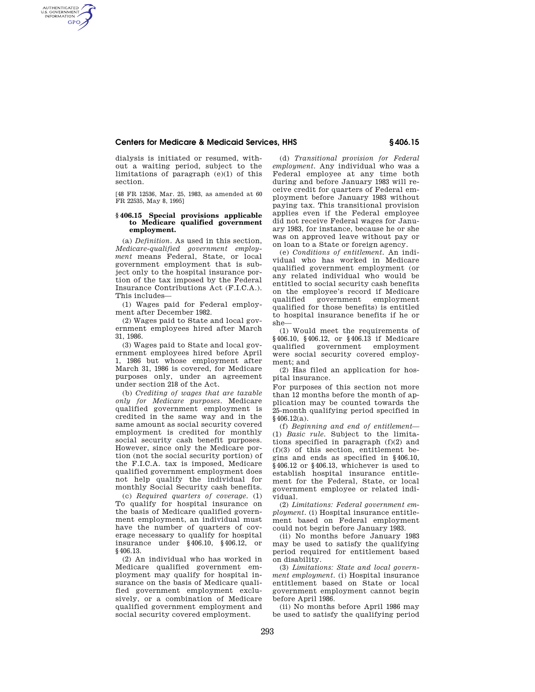#### **Centers for Medicare & Medicaid Services, HHS § 406.15**

dialysis is initiated or resumed, without a waiting period, subject to the limitations of paragraph (e)(1) of this section.

AUTHENTICATED<br>U.S. GOVERNMENT<br>INFORMATION **GPO** 

> [48 FR 12536, Mar. 25, 1983, as amended at 60 FR 22535, May 8, 1995]

#### **§ 406.15 Special provisions applicable to Medicare qualified government employment.**

(a) *Definition.* As used in this section, *Medicare-qualified government employment* means Federal, State, or local government employment that is subject only to the hospital insurance portion of the tax imposed by the Federal Insurance Contributions Act (F.I.C.A.). This includes—

(1) Wages paid for Federal employment after December 1982.

(2) Wages paid to State and local government employees hired after March 31, 1986.

(3) Wages paid to State and local government employees hired before April 1, 1986 but whose employment after March 31, 1986 is covered, for Medicare purposes only, under an agreement under section 218 of the Act.

(b) *Crediting of wages that are taxable only for Medicare purposes.* Medicare qualified government employment is credited in the same way and in the same amount as social security covered employment is credited for monthly social security cash benefit purposes. However, since only the Medicare portion (not the social security portion) of the F.I.C.A. tax is imposed, Medicare qualified government employment does not help qualify the individual for monthly Social Security cash benefits.

(c) *Required quarters of coverage.* (1) To qualify for hospital insurance on the basis of Medicare qualified government employment, an individual must have the number of quarters of coverage necessary to qualify for hospital insurance under §406.10, §406.12, or §406.13.

(2) An individual who has worked in Medicare qualified government employment may qualify for hospital insurance on the basis of Medicare qualified government employment exclusively, or a combination of Medicare qualified government employment and social security covered employment.

(d) *Transitional provision for Federal employment.* Any individual who was a Federal employee at any time both during and before January 1983 will receive credit for quarters of Federal employment before January 1983 without paying tax. This transitional provision applies even if the Federal employee did not receive Federal wages for January 1983, for instance, because he or she was on approved leave without pay or on loan to a State or foreign agency.

(e) *Conditions of entitlement.* An individual who has worked in Medicare qualified government employment (or any related individual who would be entitled to social security cash benefits on the employee's record if Medicare qualified government employment qualified for those benefits) is entitled to hospital insurance benefits if he or she—

(1) Would meet the requirements of §406.10, §406.12, or §406.13 if Medicare government employment were social security covered employment; and

(2) Has filed an application for hospital insurance.

For purposes of this section not more than 12 months before the month of application may be counted towards the 25-month qualifying period specified in  $§$ 406.12(a).

(f) *Beginning and end of entitlement*— (1) *Basic rule.* Subject to the limitations specified in paragraph (f)(2) and (f)(3) of this section, entitlement begins and ends as specified in §406.10, §406.12 or §406.13, whichever is used to establish hospital insurance entitlement for the Federal, State, or local government employee or related individual.

(2) *Limitations: Federal government employment.* (i) Hospital insurance entitlement based on Federal employment could not begin before January 1983.

(ii) No months before January 1983 may be used to satisfy the qualifying period required for entitlement based on disability.

(3) *Limitations: State and local government employment.* (i) Hospital insurance entitlement based on State or local government employment cannot begin before April 1986.

(ii) No months before April 1986 may be used to satisfy the qualifying period